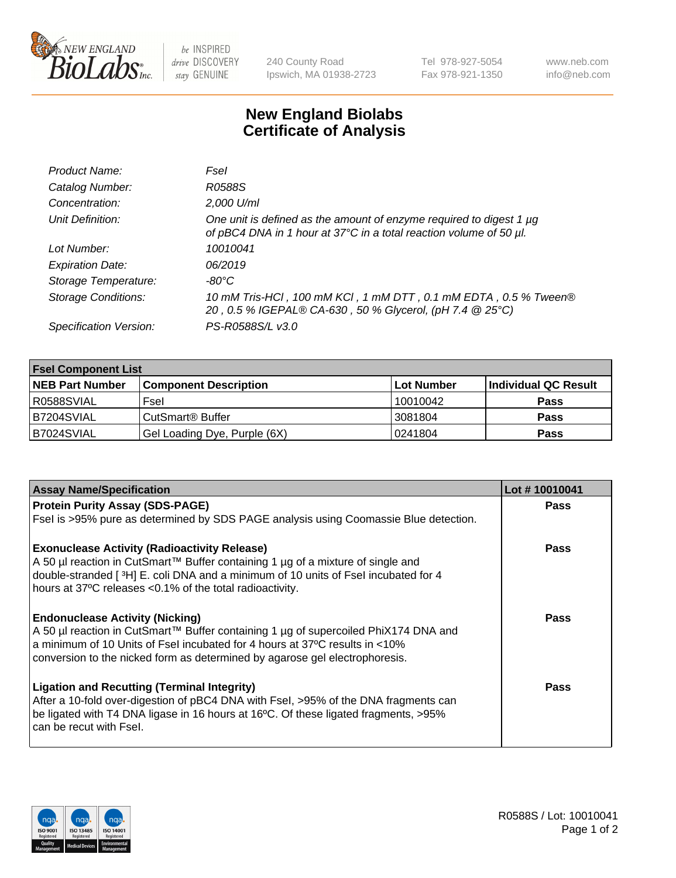

be INSPIRED drive DISCOVERY stay GENUINE

240 County Road Ipswich, MA 01938-2723 Tel 978-927-5054 Fax 978-921-1350 www.neb.com info@neb.com

## **New England Biolabs Certificate of Analysis**

| Product Name:              | Fsel                                                                                                                                           |
|----------------------------|------------------------------------------------------------------------------------------------------------------------------------------------|
| Catalog Number:            | R0588S                                                                                                                                         |
| Concentration:             | 2,000 U/ml                                                                                                                                     |
| Unit Definition:           | One unit is defined as the amount of enzyme required to digest 1 $\mu$ g<br>of pBC4 DNA in 1 hour at 37°C in a total reaction volume of 50 µl. |
| Lot Number:                | 10010041                                                                                                                                       |
| <b>Expiration Date:</b>    | 06/2019                                                                                                                                        |
| Storage Temperature:       | $-80^{\circ}$ C                                                                                                                                |
| <b>Storage Conditions:</b> | 10 mM Tris-HCl, 100 mM KCl, 1 mM DTT, 0.1 mM EDTA, 0.5 % Tween®<br>20, 0.5 % IGEPAL® CA-630, 50 % Glycerol, (pH 7.4 @ 25°C)                    |
| Specification Version:     | PS-R0588S/L v3.0                                                                                                                               |

| <b>Fsel Component List</b> |                              |            |                      |  |  |
|----------------------------|------------------------------|------------|----------------------|--|--|
| <b>NEB Part Number</b>     | <b>Component Description</b> | Lot Number | Individual QC Result |  |  |
| R0588SVIAL                 | Fsel                         | 10010042   | <b>Pass</b>          |  |  |
| IB7204SVIAL                | CutSmart <sup>®</sup> Buffer | 3081804    | <b>Pass</b>          |  |  |
| B7024SVIAL                 | Gel Loading Dye, Purple (6X) | 10241804   | <b>Pass</b>          |  |  |

| <b>Assay Name/Specification</b>                                                                                | Lot #10010041 |
|----------------------------------------------------------------------------------------------------------------|---------------|
| <b>Protein Purity Assay (SDS-PAGE)</b>                                                                         | <b>Pass</b>   |
| Fsel is >95% pure as determined by SDS PAGE analysis using Coomassie Blue detection.                           |               |
| <b>Exonuclease Activity (Radioactivity Release)</b>                                                            | <b>Pass</b>   |
| A 50 µl reaction in CutSmart™ Buffer containing 1 µg of a mixture of single and                                |               |
| double-stranded [3H] E. coli DNA and a minimum of 10 units of Fsel incubated for 4                             |               |
| hours at 37°C releases <0.1% of the total radioactivity.                                                       |               |
| <b>Endonuclease Activity (Nicking)</b>                                                                         | <b>Pass</b>   |
| A 50 µl reaction in CutSmart™ Buffer containing 1 µg of supercoiled PhiX174 DNA and                            |               |
| a minimum of 10 Units of Fsel incubated for 4 hours at 37 <sup>o</sup> C results in <10%                       |               |
| conversion to the nicked form as determined by agarose gel electrophoresis.                                    |               |
| <b>Ligation and Recutting (Terminal Integrity)</b>                                                             | Pass          |
| After a 10-fold over-digestion of pBC4 DNA with Fsel, >95% of the DNA fragments can                            |               |
| be ligated with T4 DNA ligase in 16 hours at 16°C. Of these ligated fragments, >95%<br>can be recut with Fsel. |               |
|                                                                                                                |               |